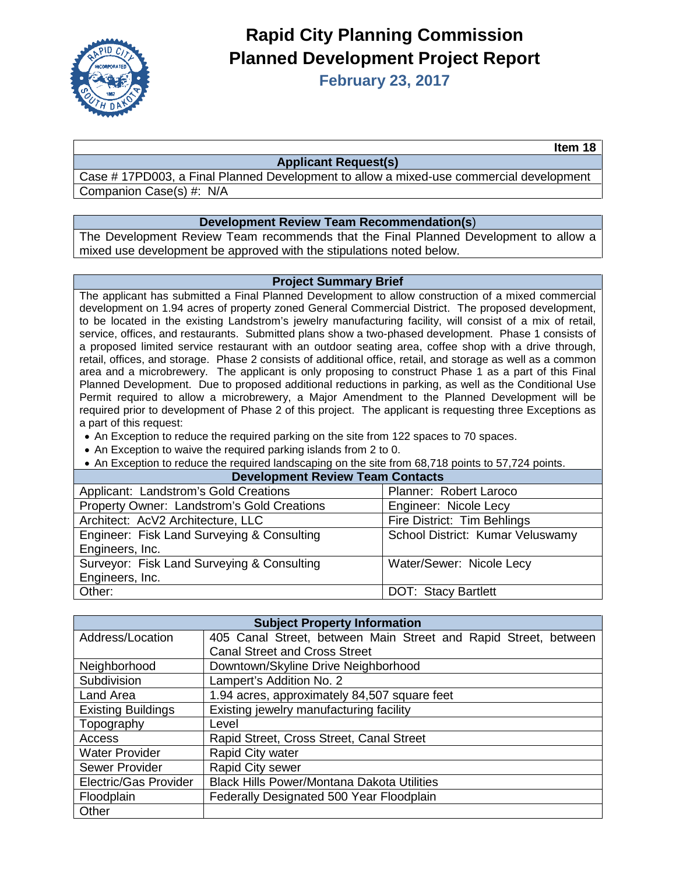

# **Rapid City Planning Commission Planned Development Project Report**

**February 23, 2017**

**Item 18**

#### **Applicant Request(s)**

Case # 17PD003, a Final Planned Development to allow a mixed-use commercial development Companion Case(s) #: N/A

### **Development Review Team Recommendation(s**)

The Development Review Team recommends that the Final Planned Development to allow a mixed use development be approved with the stipulations noted below.

#### **Project Summary Brief**

The applicant has submitted a Final Planned Development to allow construction of a mixed commercial development on 1.94 acres of property zoned General Commercial District. The proposed development, to be located in the existing Landstrom's jewelry manufacturing facility, will consist of a mix of retail, service, offices, and restaurants. Submitted plans show a two-phased development. Phase 1 consists of a proposed limited service restaurant with an outdoor seating area, coffee shop with a drive through, retail, offices, and storage. Phase 2 consists of additional office, retail, and storage as well as a common area and a microbrewery. The applicant is only proposing to construct Phase 1 as a part of this Final Planned Development. Due to proposed additional reductions in parking, as well as the Conditional Use Permit required to allow a microbrewery, a Major Amendment to the Planned Development will be required prior to development of Phase 2 of this project. The applicant is requesting three Exceptions as a part of this request:

- An Exception to reduce the required parking on the site from 122 spaces to 70 spaces.
- An Exception to waive the required parking islands from 2 to 0.
- An Exception to reduce the required landscaping on the site from 68,718 points to 57,724 points.

| <b>Development Review Team Contacts</b> |  |  |  |
|-----------------------------------------|--|--|--|
| Planner: Robert Laroco                  |  |  |  |
| Engineer: Nicole Lecy                   |  |  |  |
| Fire District: Tim Behlings             |  |  |  |
| School District: Kumar Veluswamy        |  |  |  |
|                                         |  |  |  |
| Water/Sewer: Nicole Lecy                |  |  |  |
|                                         |  |  |  |
| <b>DOT: Stacy Bartlett</b>              |  |  |  |
|                                         |  |  |  |

| <b>Subject Property Information</b> |                                                                 |  |  |
|-------------------------------------|-----------------------------------------------------------------|--|--|
| Address/Location                    | 405 Canal Street, between Main Street and Rapid Street, between |  |  |
|                                     | <b>Canal Street and Cross Street</b>                            |  |  |
| Neighborhood                        | Downtown/Skyline Drive Neighborhood                             |  |  |
| Subdivision                         | Lampert's Addition No. 2                                        |  |  |
| Land Area                           | 1.94 acres, approximately 84,507 square feet                    |  |  |
| <b>Existing Buildings</b>           | Existing jewelry manufacturing facility                         |  |  |
| Topography                          | Level                                                           |  |  |
| Access                              | Rapid Street, Cross Street, Canal Street                        |  |  |
| <b>Water Provider</b>               | Rapid City water                                                |  |  |
| Sewer Provider                      | Rapid City sewer                                                |  |  |
| Electric/Gas Provider               | <b>Black Hills Power/Montana Dakota Utilities</b>               |  |  |
| Floodplain                          | Federally Designated 500 Year Floodplain                        |  |  |
| Other                               |                                                                 |  |  |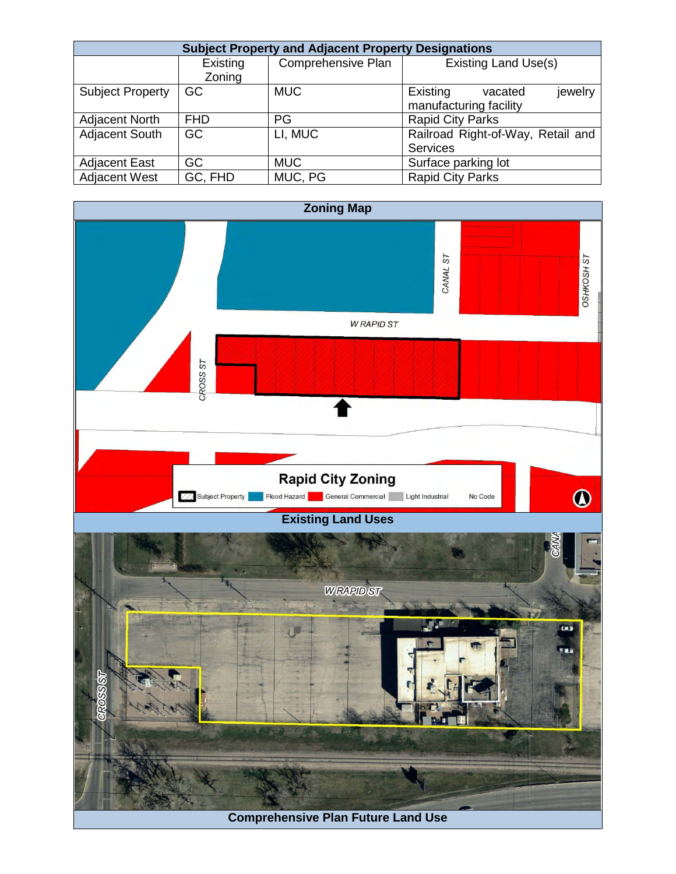| <b>Subject Property and Adjacent Property Designations</b> |            |                    |                                   |  |
|------------------------------------------------------------|------------|--------------------|-----------------------------------|--|
|                                                            | Existing   | Comprehensive Plan | <b>Existing Land Use(s)</b>       |  |
|                                                            | Zoning     |                    |                                   |  |
| <b>Subject Property</b>                                    | GC         | <b>MUC</b>         | Existing<br>jewelry<br>vacated    |  |
|                                                            |            |                    | manufacturing facility            |  |
| <b>Adjacent North</b>                                      | <b>FHD</b> | PG                 | <b>Rapid City Parks</b>           |  |
| <b>Adjacent South</b>                                      | <b>GC</b>  | LI, MUC            | Railroad Right-of-Way, Retail and |  |
|                                                            |            |                    | <b>Services</b>                   |  |
| <b>Adjacent East</b>                                       | GC         | <b>MUC</b>         | Surface parking lot               |  |
| <b>Adjacent West</b>                                       | GC, FHD    | MUC, PG            | <b>Rapid City Parks</b>           |  |

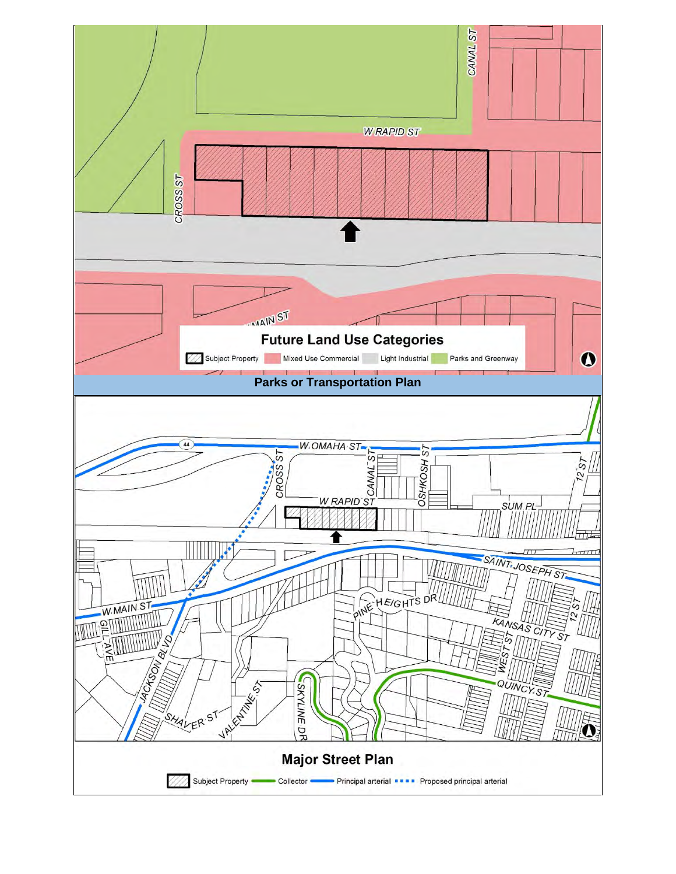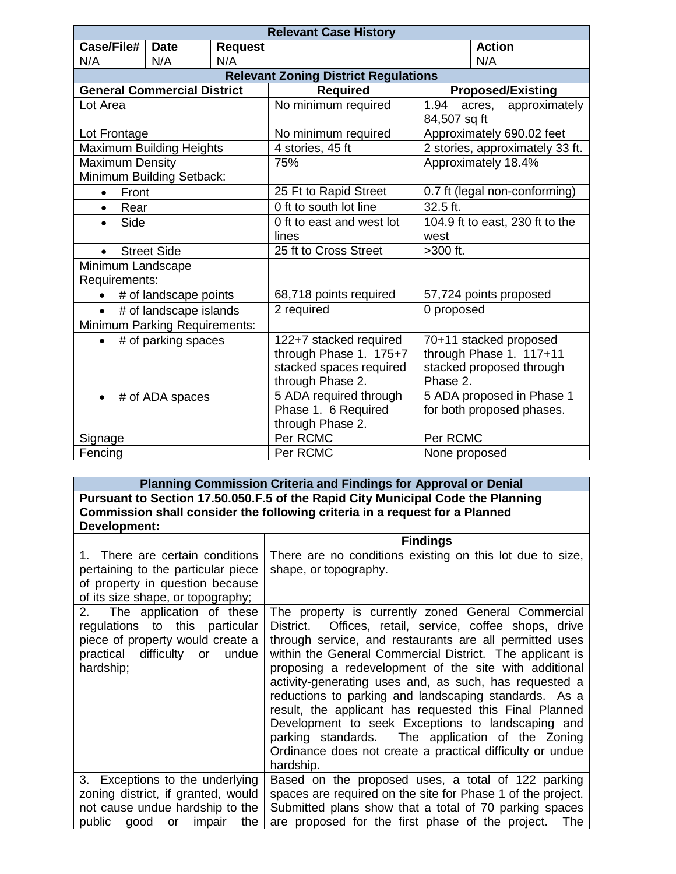| <b>Relevant Case History</b>         |                                                    |                        |                                                                                                 |                        |                                                                               |
|--------------------------------------|----------------------------------------------------|------------------------|-------------------------------------------------------------------------------------------------|------------------------|-------------------------------------------------------------------------------|
| Case/File#                           | <b>Date</b>                                        | <b>Request</b>         |                                                                                                 |                        | <b>Action</b>                                                                 |
| N/A                                  | N/A                                                | N/A                    |                                                                                                 |                        | N/A                                                                           |
|                                      | <b>Relevant Zoning District Regulations</b>        |                        |                                                                                                 |                        |                                                                               |
| <b>General Commercial District</b>   |                                                    |                        | <b>Required</b>                                                                                 |                        | <b>Proposed/Existing</b>                                                      |
| Lot Area                             |                                                    |                        | No minimum required                                                                             | 1.94<br>84,507 sq ft   | approximately<br>acres,                                                       |
| Lot Frontage                         |                                                    |                        | No minimum required                                                                             |                        | Approximately 690.02 feet                                                     |
| Maximum Building Heights             |                                                    |                        | 4 stories, 45 ft                                                                                |                        | 2 stories, approximately 33 ft.                                               |
| <b>Maximum Density</b>               |                                                    |                        | 75%                                                                                             |                        | Approximately 18.4%                                                           |
| Minimum Building Setback:            |                                                    |                        |                                                                                                 |                        |                                                                               |
| Front<br>$\bullet$                   |                                                    |                        | 25 Ft to Rapid Street                                                                           |                        | 0.7 ft (legal non-conforming)                                                 |
| Rear<br>$\bullet$                    |                                                    |                        | 0 ft to south lot line                                                                          | 32.5 ft.               |                                                                               |
| Side                                 |                                                    |                        | 0 ft to east and west lot<br>lines                                                              | west                   | 104.9 ft to east, 230 ft to the                                               |
|                                      | <b>Street Side</b>                                 |                        | 25 ft to Cross Street                                                                           | >300 ft.               |                                                                               |
| Minimum Landscape<br>Requirements:   |                                                    |                        |                                                                                                 |                        |                                                                               |
| # of landscape points                |                                                    | 68,718 points required |                                                                                                 | 57,724 points proposed |                                                                               |
|                                      | 2 required<br>0 proposed<br># of landscape islands |                        |                                                                                                 |                        |                                                                               |
| <b>Minimum Parking Requirements:</b> |                                                    |                        |                                                                                                 |                        |                                                                               |
| $\bullet$                            | # of parking spaces                                |                        | 122+7 stacked required<br>through Phase 1. 175+7<br>stacked spaces required<br>through Phase 2. | Phase 2.               | 70+11 stacked proposed<br>through Phase 1. 117+11<br>stacked proposed through |
| $\bullet$                            | # of ADA spaces                                    |                        | 5 ADA required through<br>Phase 1. 6 Required<br>through Phase 2.                               |                        | 5 ADA proposed in Phase 1<br>for both proposed phases.                        |
| Signage                              |                                                    |                        | Per RCMC                                                                                        | Per RCMC               |                                                                               |
| Fencing                              |                                                    |                        | Per RCMC                                                                                        | None proposed          |                                                                               |

**Planning Commission Criteria and Findings for Approval or Denial Pursuant to Section 17.50.050.F.5 of the Rapid City Municipal Code the Planning Commission shall consider the following criteria in a request for a Planned Development:**

|                                                                                                                                                    | <b>Findings</b>                                                                                                                                                                                                                                                                                                                                                                                                                                                                                                                                                                                                                                               |
|----------------------------------------------------------------------------------------------------------------------------------------------------|---------------------------------------------------------------------------------------------------------------------------------------------------------------------------------------------------------------------------------------------------------------------------------------------------------------------------------------------------------------------------------------------------------------------------------------------------------------------------------------------------------------------------------------------------------------------------------------------------------------------------------------------------------------|
| 1. There are certain conditions<br>pertaining to the particular piece<br>of property in question because<br>of its size shape, or topography;      | There are no conditions existing on this lot due to size,<br>shape, or topography.                                                                                                                                                                                                                                                                                                                                                                                                                                                                                                                                                                            |
| 2. The application of these<br>regulations to this particular<br>piece of property would create a<br>practical difficulty or<br>undue<br>hardship; | The property is currently zoned General Commercial<br>District. Offices, retail, service, coffee shops, drive<br>through service, and restaurants are all permitted uses<br>within the General Commercial District. The applicant is<br>proposing a redevelopment of the site with additional<br>activity-generating uses and, as such, has requested a<br>reductions to parking and landscaping standards. As a<br>result, the applicant has requested this Final Planned<br>Development to seek Exceptions to landscaping and<br>parking standards. The application of the Zoning<br>Ordinance does not create a practical difficulty or undue<br>hardship. |
| 3. Exceptions to the underlying<br>zoning district, if granted, would<br>not cause undue hardship to the<br>the<br>public good<br>impair<br>or     | Based on the proposed uses, a total of 122 parking<br>spaces are required on the site for Phase 1 of the project.<br>Submitted plans show that a total of 70 parking spaces<br>are proposed for the first phase of the project. The                                                                                                                                                                                                                                                                                                                                                                                                                           |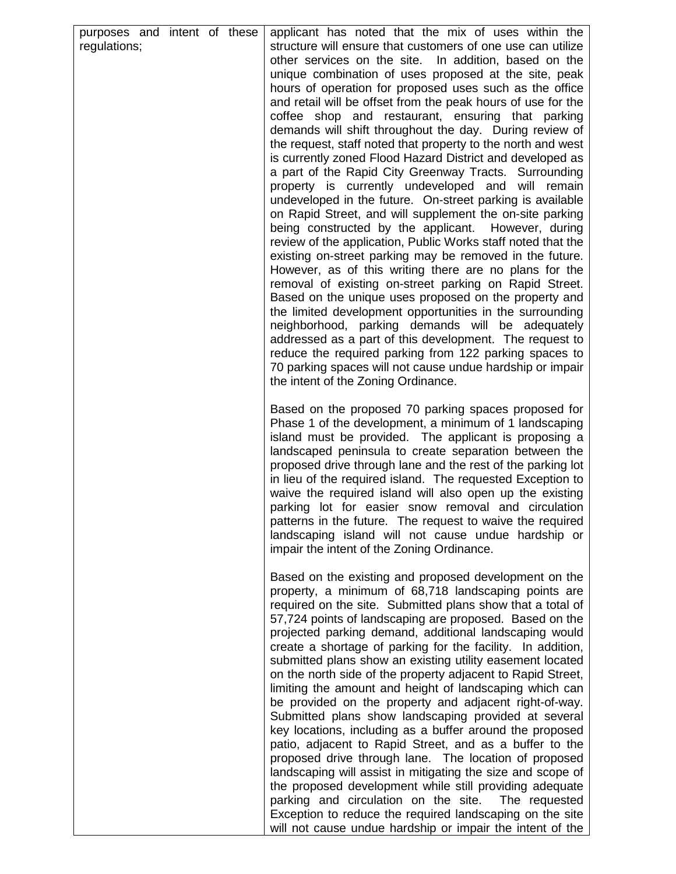| purposes and intent of these<br>regulations; | applicant has noted that the mix of uses within the<br>structure will ensure that customers of one use can utilize<br>other services on the site. In addition, based on the<br>unique combination of uses proposed at the site, peak<br>hours of operation for proposed uses such as the office<br>and retail will be offset from the peak hours of use for the<br>coffee shop and restaurant, ensuring that parking<br>demands will shift throughout the day. During review of<br>the request, staff noted that property to the north and west<br>is currently zoned Flood Hazard District and developed as<br>a part of the Rapid City Greenway Tracts. Surrounding<br>property is currently undeveloped and will remain<br>undeveloped in the future. On-street parking is available<br>on Rapid Street, and will supplement the on-site parking<br>being constructed by the applicant. However, during<br>review of the application, Public Works staff noted that the<br>existing on-street parking may be removed in the future.<br>However, as of this writing there are no plans for the<br>removal of existing on-street parking on Rapid Street.<br>Based on the unique uses proposed on the property and<br>the limited development opportunities in the surrounding<br>neighborhood, parking demands will be adequately<br>addressed as a part of this development. The request to<br>reduce the required parking from 122 parking spaces to<br>70 parking spaces will not cause undue hardship or impair<br>the intent of the Zoning Ordinance. |
|----------------------------------------------|--------------------------------------------------------------------------------------------------------------------------------------------------------------------------------------------------------------------------------------------------------------------------------------------------------------------------------------------------------------------------------------------------------------------------------------------------------------------------------------------------------------------------------------------------------------------------------------------------------------------------------------------------------------------------------------------------------------------------------------------------------------------------------------------------------------------------------------------------------------------------------------------------------------------------------------------------------------------------------------------------------------------------------------------------------------------------------------------------------------------------------------------------------------------------------------------------------------------------------------------------------------------------------------------------------------------------------------------------------------------------------------------------------------------------------------------------------------------------------------------------------------------------------------------------------------|
|                                              | Based on the proposed 70 parking spaces proposed for<br>Phase 1 of the development, a minimum of 1 landscaping<br>island must be provided. The applicant is proposing a<br>landscaped peninsula to create separation between the<br>proposed drive through lane and the rest of the parking lot<br>in lieu of the required island. The requested Exception to<br>waive the required island will also open up the existing<br>parking lot for easier snow removal and circulation<br>patterns in the future. The request to waive the required<br>landscaping island will not cause undue hardship or<br>impair the intent of the Zoning Ordinance.                                                                                                                                                                                                                                                                                                                                                                                                                                                                                                                                                                                                                                                                                                                                                                                                                                                                                                           |
|                                              | Based on the existing and proposed development on the<br>property, a minimum of 68,718 landscaping points are<br>required on the site. Submitted plans show that a total of<br>57,724 points of landscaping are proposed. Based on the<br>projected parking demand, additional landscaping would<br>create a shortage of parking for the facility. In addition,<br>submitted plans show an existing utility easement located<br>on the north side of the property adjacent to Rapid Street,<br>limiting the amount and height of landscaping which can<br>be provided on the property and adjacent right-of-way.<br>Submitted plans show landscaping provided at several<br>key locations, including as a buffer around the proposed<br>patio, adjacent to Rapid Street, and as a buffer to the<br>proposed drive through lane. The location of proposed<br>landscaping will assist in mitigating the size and scope of<br>the proposed development while still providing adequate<br>parking and circulation on the site.<br>The requested<br>Exception to reduce the required landscaping on the site<br>will not cause undue hardship or impair the intent of the                                                                                                                                                                                                                                                                                                                                                                                         |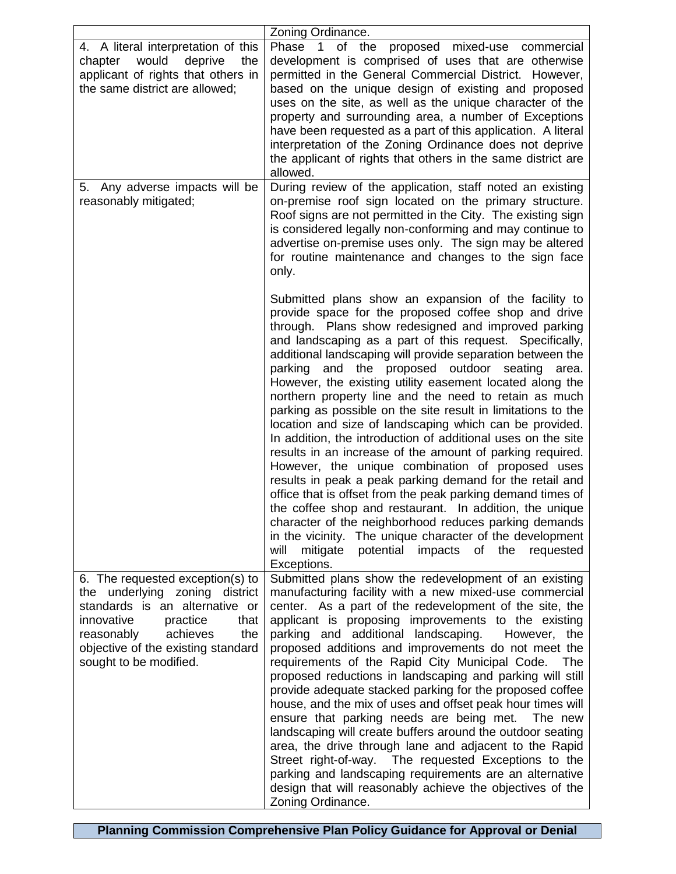|                                                                                                                                                                                                                                         | Zoning Ordinance.                                                                                                                                                                                                                                                                                                                                                                                                                                                                                                                                                                                                                                                                                                                                                                                                                                                                                                                                                                                                                                                                                                                                                                   |
|-----------------------------------------------------------------------------------------------------------------------------------------------------------------------------------------------------------------------------------------|-------------------------------------------------------------------------------------------------------------------------------------------------------------------------------------------------------------------------------------------------------------------------------------------------------------------------------------------------------------------------------------------------------------------------------------------------------------------------------------------------------------------------------------------------------------------------------------------------------------------------------------------------------------------------------------------------------------------------------------------------------------------------------------------------------------------------------------------------------------------------------------------------------------------------------------------------------------------------------------------------------------------------------------------------------------------------------------------------------------------------------------------------------------------------------------|
| 4. A literal interpretation of this<br>would<br>deprive<br>chapter<br>the<br>applicant of rights that others in<br>the same district are allowed;                                                                                       | Phase 1 of the proposed mixed-use<br>commercial<br>development is comprised of uses that are otherwise<br>permitted in the General Commercial District. However,<br>based on the unique design of existing and proposed<br>uses on the site, as well as the unique character of the<br>property and surrounding area, a number of Exceptions<br>have been requested as a part of this application. A literal<br>interpretation of the Zoning Ordinance does not deprive<br>the applicant of rights that others in the same district are<br>allowed.                                                                                                                                                                                                                                                                                                                                                                                                                                                                                                                                                                                                                                 |
| 5. Any adverse impacts will be<br>reasonably mitigated;                                                                                                                                                                                 | During review of the application, staff noted an existing<br>on-premise roof sign located on the primary structure.<br>Roof signs are not permitted in the City. The existing sign<br>is considered legally non-conforming and may continue to<br>advertise on-premise uses only. The sign may be altered<br>for routine maintenance and changes to the sign face<br>only.                                                                                                                                                                                                                                                                                                                                                                                                                                                                                                                                                                                                                                                                                                                                                                                                          |
|                                                                                                                                                                                                                                         | Submitted plans show an expansion of the facility to<br>provide space for the proposed coffee shop and drive<br>through. Plans show redesigned and improved parking<br>and landscaping as a part of this request. Specifically,<br>additional landscaping will provide separation between the<br>parking and the proposed outdoor seating<br>area.<br>However, the existing utility easement located along the<br>northern property line and the need to retain as much<br>parking as possible on the site result in limitations to the<br>location and size of landscaping which can be provided.<br>In addition, the introduction of additional uses on the site<br>results in an increase of the amount of parking required.<br>However, the unique combination of proposed uses<br>results in peak a peak parking demand for the retail and<br>office that is offset from the peak parking demand times of<br>the coffee shop and restaurant. In addition, the unique<br>character of the neighborhood reduces parking demands<br>in the vicinity. The unique character of the development<br>mitigate<br>potential<br>impacts<br>the<br>will<br>of<br>requested<br>Exceptions. |
| 6. The requested exception(s) to<br>the underlying zoning district<br>standards is an alternative or<br>innovative<br>practice<br>that<br>reasonably<br>achieves<br>the<br>objective of the existing standard<br>sought to be modified. | Submitted plans show the redevelopment of an existing<br>manufacturing facility with a new mixed-use commercial<br>center. As a part of the redevelopment of the site, the<br>applicant is proposing improvements to the existing<br>parking and additional landscaping.<br>However, the<br>proposed additions and improvements do not meet the<br>requirements of the Rapid City Municipal Code.<br>The<br>proposed reductions in landscaping and parking will still<br>provide adequate stacked parking for the proposed coffee<br>house, and the mix of uses and offset peak hour times will<br>ensure that parking needs are being met. The new<br>landscaping will create buffers around the outdoor seating<br>area, the drive through lane and adjacent to the Rapid<br>Street right-of-way. The requested Exceptions to the<br>parking and landscaping requirements are an alternative<br>design that will reasonably achieve the objectives of the<br>Zoning Ordinance.                                                                                                                                                                                                    |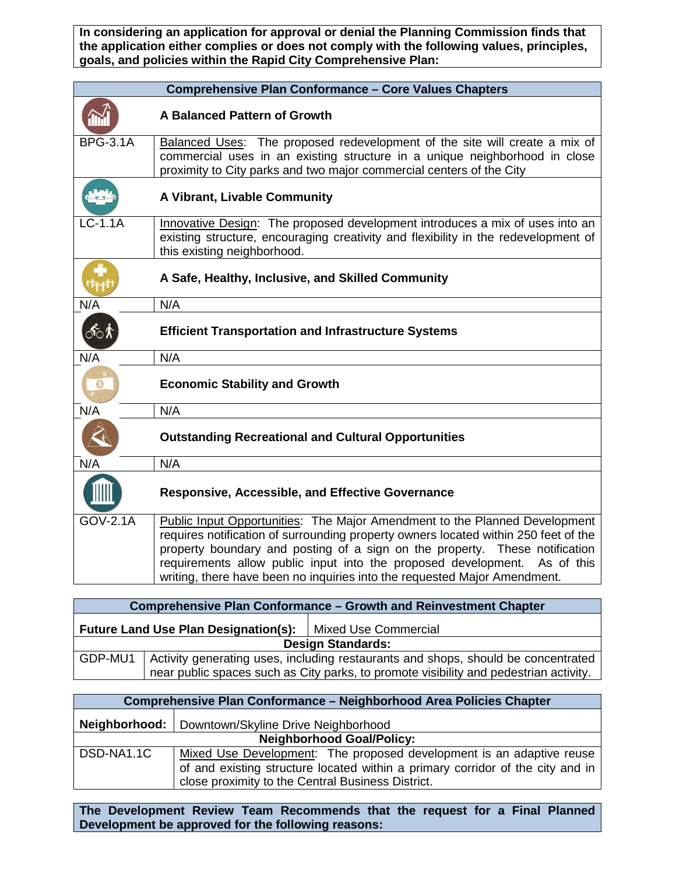**In considering an application for approval or denial the Planning Commission finds that the application either complies or does not comply with the following values, principles, goals, and policies within the Rapid City Comprehensive Plan:**

|                 | <b>Comprehensive Plan Conformance - Core Values Chapters</b>                                                                                                                                                                                                                                                                                                                                               |
|-----------------|------------------------------------------------------------------------------------------------------------------------------------------------------------------------------------------------------------------------------------------------------------------------------------------------------------------------------------------------------------------------------------------------------------|
|                 | A Balanced Pattern of Growth                                                                                                                                                                                                                                                                                                                                                                               |
| <b>BPG-3.1A</b> | Balanced Uses: The proposed redevelopment of the site will create a mix of<br>commercial uses in an existing structure in a unique neighborhood in close<br>proximity to City parks and two major commercial centers of the City                                                                                                                                                                           |
|                 | A Vibrant, Livable Community                                                                                                                                                                                                                                                                                                                                                                               |
| $LC-1.1A$       | Innovative Design: The proposed development introduces a mix of uses into an<br>existing structure, encouraging creativity and flexibility in the redevelopment of<br>this existing neighborhood.                                                                                                                                                                                                          |
|                 | A Safe, Healthy, Inclusive, and Skilled Community                                                                                                                                                                                                                                                                                                                                                          |
| N/A             | N/A                                                                                                                                                                                                                                                                                                                                                                                                        |
| ி்்∧            | <b>Efficient Transportation and Infrastructure Systems</b>                                                                                                                                                                                                                                                                                                                                                 |
| N/A             | N/A                                                                                                                                                                                                                                                                                                                                                                                                        |
| G               | <b>Economic Stability and Growth</b>                                                                                                                                                                                                                                                                                                                                                                       |
| N/A             | N/A                                                                                                                                                                                                                                                                                                                                                                                                        |
|                 | <b>Outstanding Recreational and Cultural Opportunities</b>                                                                                                                                                                                                                                                                                                                                                 |
| N/A             | N/A                                                                                                                                                                                                                                                                                                                                                                                                        |
|                 | <b>Responsive, Accessible, and Effective Governance</b>                                                                                                                                                                                                                                                                                                                                                    |
| GOV-2.1A        | Public Input Opportunities: The Major Amendment to the Planned Development<br>requires notification of surrounding property owners located within 250 feet of the<br>property boundary and posting of a sign on the property. These notification<br>requirements allow public input into the proposed development. As of this<br>writing, there have been no inquiries into the requested Major Amendment. |

| <b>Comprehensive Plan Conformance - Growth and Reinvestment Chapter</b>                                                                                                               |                                             |                      |
|---------------------------------------------------------------------------------------------------------------------------------------------------------------------------------------|---------------------------------------------|----------------------|
|                                                                                                                                                                                       | <b>Future Land Use Plan Designation(s):</b> | Mixed Use Commercial |
| <b>Design Standards:</b>                                                                                                                                                              |                                             |                      |
| GDP-MU1<br>Activity generating uses, including restaurants and shops, should be concentrated<br>near public spaces such as City parks, to promote visibility and pedestrian activity. |                                             |                      |

| <b>Comprehensive Plan Conformance - Neighborhood Area Policies Chapter</b> |                                                                                |  |  |
|----------------------------------------------------------------------------|--------------------------------------------------------------------------------|--|--|
|                                                                            | Neighborhood:   Downtown/Skyline Drive Neighborhood                            |  |  |
| <b>Neighborhood Goal/Policy:</b>                                           |                                                                                |  |  |
| DSD-NA1.1C                                                                 | Mixed Use Development: The proposed development is an adaptive reuse           |  |  |
|                                                                            | of and existing structure located within a primary corridor of the city and in |  |  |
|                                                                            | close proximity to the Central Business District.                              |  |  |

**The Development Review Team Recommends that the request for a Final Planned Development be approved for the following reasons:**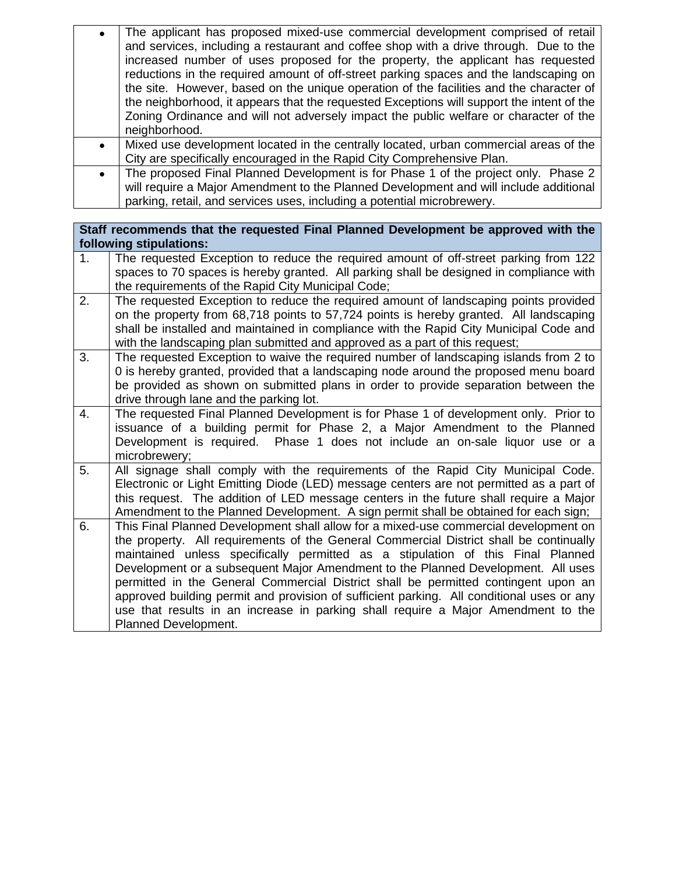| The applicant has proposed mixed-use commercial development comprised of retail<br>and services, including a restaurant and coffee shop with a drive through. Due to the<br>increased number of uses proposed for the property, the applicant has requested<br>reductions in the required amount of off-street parking spaces and the landscaping on<br>the site. However, based on the unique operation of the facilities and the character of<br>the neighborhood, it appears that the requested Exceptions will support the intent of the<br>Zoning Ordinance and will not adversely impact the public welfare or character of the<br>neighborhood. |
|--------------------------------------------------------------------------------------------------------------------------------------------------------------------------------------------------------------------------------------------------------------------------------------------------------------------------------------------------------------------------------------------------------------------------------------------------------------------------------------------------------------------------------------------------------------------------------------------------------------------------------------------------------|
|                                                                                                                                                                                                                                                                                                                                                                                                                                                                                                                                                                                                                                                        |
| Mixed use development located in the centrally located, urban commercial areas of the<br>City are specifically encouraged in the Rapid City Comprehensive Plan.                                                                                                                                                                                                                                                                                                                                                                                                                                                                                        |
| The proposed Final Planned Development is for Phase 1 of the project only. Phase 2<br>will require a Major Amendment to the Planned Development and will include additional                                                                                                                                                                                                                                                                                                                                                                                                                                                                            |

parking, retail, and services uses, including a potential microbrewery.

### **Staff recommends that the requested Final Planned Development be approved with the following stipulations:**

| 1. | The requested Exception to reduce the required amount of off-street parking from 122<br>spaces to 70 spaces is hereby granted. All parking shall be designed in compliance with<br>the requirements of the Rapid City Municipal Code;                                                                                                                                                                                                                                                                                                                                                                                                                 |
|----|-------------------------------------------------------------------------------------------------------------------------------------------------------------------------------------------------------------------------------------------------------------------------------------------------------------------------------------------------------------------------------------------------------------------------------------------------------------------------------------------------------------------------------------------------------------------------------------------------------------------------------------------------------|
| 2. | The requested Exception to reduce the required amount of landscaping points provided<br>on the property from 68,718 points to 57,724 points is hereby granted. All landscaping<br>shall be installed and maintained in compliance with the Rapid City Municipal Code and<br>with the landscaping plan submitted and approved as a part of this request;                                                                                                                                                                                                                                                                                               |
| 3. | The requested Exception to waive the required number of landscaping islands from 2 to<br>0 is hereby granted, provided that a landscaping node around the proposed menu board<br>be provided as shown on submitted plans in order to provide separation between the<br>drive through lane and the parking lot.                                                                                                                                                                                                                                                                                                                                        |
| 4. | The requested Final Planned Development is for Phase 1 of development only. Prior to<br>issuance of a building permit for Phase 2, a Major Amendment to the Planned<br>Development is required. Phase 1 does not include an on-sale liquor use or a<br>microbrewery;                                                                                                                                                                                                                                                                                                                                                                                  |
| 5. | All signage shall comply with the requirements of the Rapid City Municipal Code.<br>Electronic or Light Emitting Diode (LED) message centers are not permitted as a part of<br>this request. The addition of LED message centers in the future shall require a Major<br>Amendment to the Planned Development. A sign permit shall be obtained for each sign;                                                                                                                                                                                                                                                                                          |
| 6. | This Final Planned Development shall allow for a mixed-use commercial development on<br>the property. All requirements of the General Commercial District shall be continually<br>maintained unless specifically permitted as a stipulation of this Final Planned<br>Development or a subsequent Major Amendment to the Planned Development. All uses<br>permitted in the General Commercial District shall be permitted contingent upon an<br>approved building permit and provision of sufficient parking. All conditional uses or any<br>use that results in an increase in parking shall require a Major Amendment to the<br>Planned Development. |